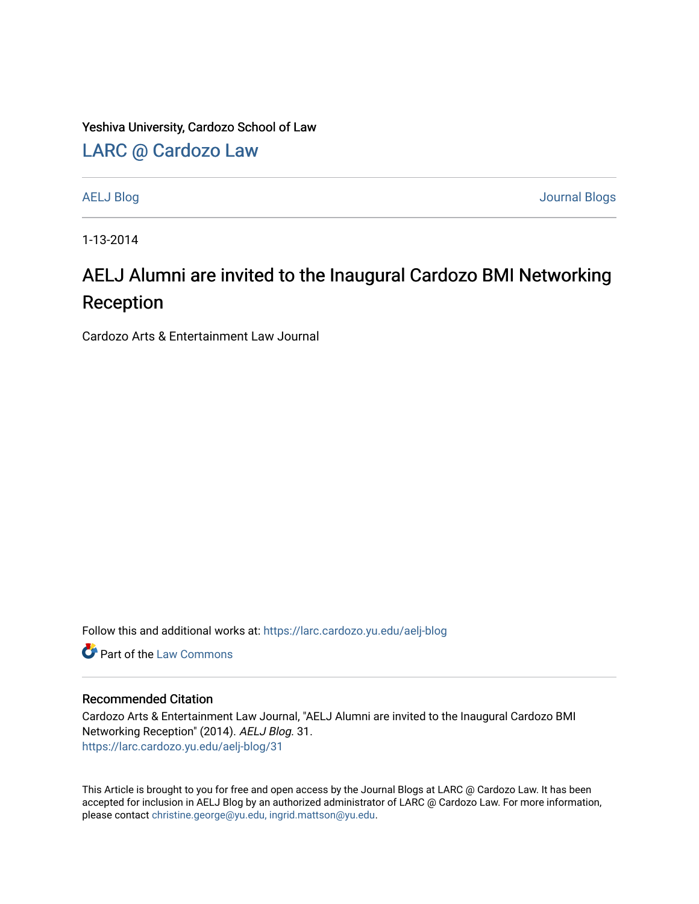Yeshiva University, Cardozo School of Law

[LARC @ Cardozo Law](https://larc.cardozo.yu.edu/)

[AELJ Blog](https://larc.cardozo.yu.edu/aelj-blog) [Journal Blogs](https://larc.cardozo.yu.edu/journal-blogs) 

1-13-2014

## AELJ Alumni are invited to the Inaugural Cardozo BMI Networking Reception

Cardozo Arts & Entertainment Law Journal

Follow this and additional works at: [https://larc.cardozo.yu.edu/aelj-blog](https://larc.cardozo.yu.edu/aelj-blog?utm_source=larc.cardozo.yu.edu%2Faelj-blog%2F31&utm_medium=PDF&utm_campaign=PDFCoverPages) 

**C** Part of the [Law Commons](http://network.bepress.com/hgg/discipline/578?utm_source=larc.cardozo.yu.edu%2Faelj-blog%2F31&utm_medium=PDF&utm_campaign=PDFCoverPages)

## Recommended Citation

Cardozo Arts & Entertainment Law Journal, "AELJ Alumni are invited to the Inaugural Cardozo BMI Networking Reception" (2014). AELJ Blog. 31. [https://larc.cardozo.yu.edu/aelj-blog/31](https://larc.cardozo.yu.edu/aelj-blog/31?utm_source=larc.cardozo.yu.edu%2Faelj-blog%2F31&utm_medium=PDF&utm_campaign=PDFCoverPages)

This Article is brought to you for free and open access by the Journal Blogs at LARC @ Cardozo Law. It has been accepted for inclusion in AELJ Blog by an authorized administrator of LARC @ Cardozo Law. For more information, please contact [christine.george@yu.edu, ingrid.mattson@yu.edu.](mailto:christine.george@yu.edu,%20ingrid.mattson@yu.edu)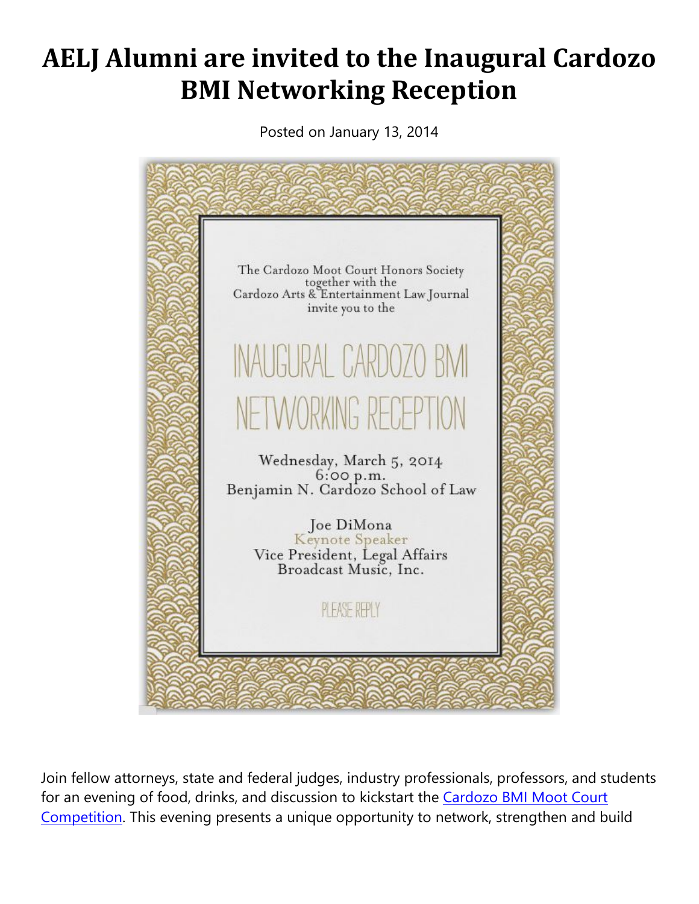## **AELJ Alumni are invited to the Inaugural Cardozo BMI Networking Reception**

Posted on January 13, 2014



Join fellow attorneys, state and federal judges, industry professionals, professors, and students for an evening of food, drinks, and discussion to kickstart the **Cardozo BMI Moot Court** [Competition.](http://www.cardozobmi.info/) This evening presents a unique opportunity to network, strengthen and build